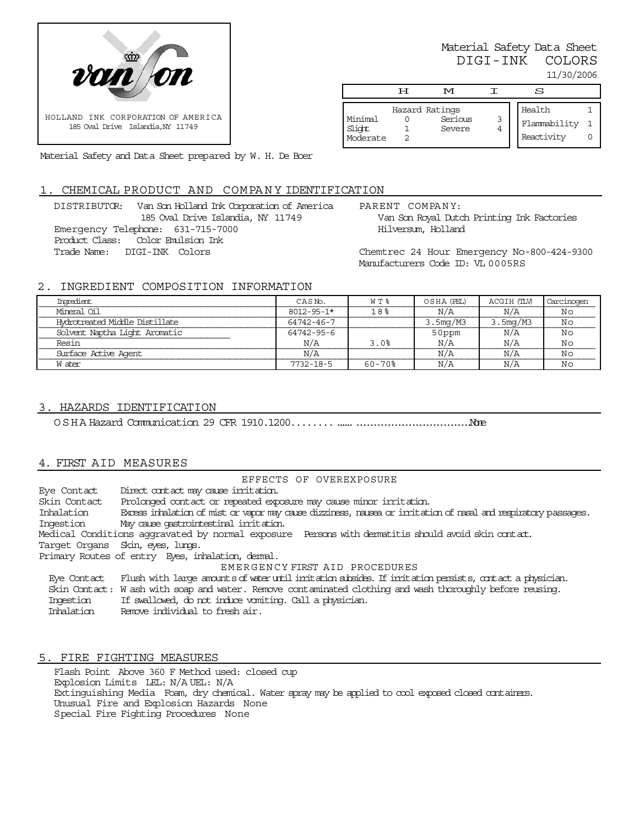

Material Safety Data Sheet DIGI-INK COLORS 11/30/2006

|                               | டா | M                                   | S                                    |  |
|-------------------------------|----|-------------------------------------|--------------------------------------|--|
| Minimal<br>Slight<br>Moderate |    | Hazard Ratings<br>Serious<br>Severe | Health<br>Flammability<br>Reactivity |  |

Material Safety and Data Sheet prepared by W. H. De Boer

### 1. CHEMICAL PRODUCT AND COMPANY IDENTIFICATION

DISTRIBUTOR: Van Son Holland Ink Corporation of America 185 Oval Drive Islandia, NY 11749 Emergency Telephone: 631-715-7000 Product Class: Color Emulsion Ink Trade Name: DIGI-INK Colors

PARENT COMPANY: Van Son Royal Dutch Printing Ink Factories Hilversum, Holland

Chemtrec 24 Hour Emergency No-800-424-9300 Manufacturers Code ID: VL 0005RS

# 2. INGREDIENT COMPOSITION INFORMATION

| Imredient                      | CAS <sub>N</sub> o. | WT %          | OSHA (PEL) | ACGIH (TLV) | Carcinogen |
|--------------------------------|---------------------|---------------|------------|-------------|------------|
| Mineral Oil                    | $8012 - 95 - 1*$    | 18%           | N/A        | N/A         | Νc         |
| Hydrotreated Middle Distillate | 64742-46-7          |               | 3.5mg/M3   | 3.5mg/M3    | Νo         |
| Solvent Naptha Light Aromatic  | 64742-95-6          |               | 50ppm      | N/A         | Νo         |
| Resin                          | N/A                 | 3.0%          | N/A        | N/A         | Νo         |
| Surface Active Agent           | N/A                 |               | N/A        | N/A         | No         |
| W ater                         | $7732 - 18 - 5$     | $60 - 70$ $8$ | N/A        | N/A         | Νc         |

### 3. HAZARDS IDENTIFICATION

OSHA Hazard Communication 29 CFR 1910.1200...............................................None

## 4. FIRST AID MEASURES

EFFECTS OF OVEREXPOSURE Eye Contact Direct contact may cause irritation. Skin Contact Prolonged contact or repeated exposure may cause minor irritation. Inhalation Excess inhalation of mist or vapor may cause dizziness, nausea or irritation of nasal and respiratory passages. Ingestion May cause gastrointestinal irritation. Medical Conditions aggravated by normal exposure Persons with dermatitis should avoid skin contact. Target Organs Skin, eyes, lungs. Primary Routes of entry Eyes, inhalation, dermal. EMERGENCY FIRST AID PROCEDURES Eye Contact Flush with large amounts of water until irritation subsides. If irritation persists, contact a physician. Skin Contact: W ash with soap and water. Remove contaminated clothing and wash thoroughly before reusing. Ingestion If swallowed, do not induce vomiting. Call a physician.<br>Inhalation Remove individual to fresh air. Remove individual to fresh air.

## 5. FIRE FIGHTING MEASURES

Flash Point Above 360 F Method used: closed cup Explosion Limits LEL: N/A UEL: N/A Extinguishing Media Foam, dry chemical. Water spray may be applied to cool exposed closed containers. Unusual Fire and Explosion Hazards None Special Fire Fighting Procedures None